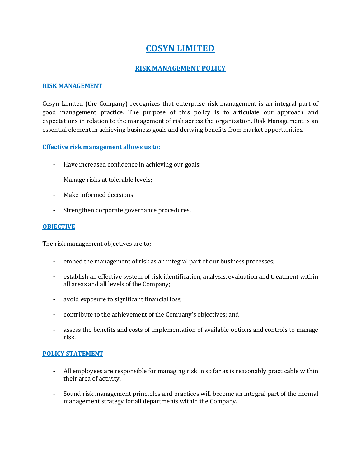# **COSYN LIMITED**

## **RISK MANAGEMENT POLICY**

#### **RISK MANAGEMENT**

Cosyn Limited (the Company) recognizes that enterprise risk management is an integral part of good management practice. The purpose of this policy is to articulate our approach and expectations in relation to the management of risk across the organization. Risk Management is an essential element in achieving business goals and deriving benefits from market opportunities.

### **Effective risk management allows us to:**

- Have increased confidence in achieving our goals;
- Manage risks at tolerable levels;
- Make informed decisions;
- Strengthen corporate governance procedures.

### **OBJECTIVE**

The risk management objectives are to;

- embed the management of risk as an integral part of our business processes;
- establish an effective system of risk identification, analysis, evaluation and treatment within all areas and all levels of the Company;
- avoid exposure to significant financial loss;
- contribute to the achievement of the Company's objectives; and
- assess the benefits and costs of implementation of available options and controls to manage risk.

#### **POLICY STATEMENT**

- All employees are responsible for managing risk in so far as is reasonably practicable within their area of activity.
- Sound risk management principles and practices will become an integral part of the normal management strategy for all departments within the Company.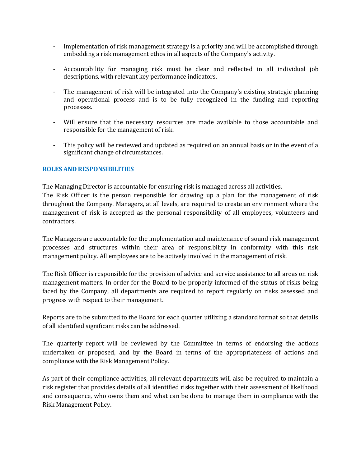- Implementation of risk management strategy is a priority and will be accomplished through embedding a risk management ethos in all aspects of the Company's activity.
- Accountability for managing risk must be clear and reflected in all individual job descriptions, with relevant key performance indicators.
- The management of risk will be integrated into the Company's existing strategic planning and operational process and is to be fully recognized in the funding and reporting processes.
- Will ensure that the necessary resources are made available to those accountable and responsible for the management of risk.
- This policy will be reviewed and updated as required on an annual basis or in the event of a significant change of circumstances.

### **ROLES AND RESPONSIBILITIES**

The Managing Director is accountable for ensuring risk is managed across all activities. The Risk Officer is the person responsible for drawing up a plan for the management of risk throughout the Company. Managers, at all levels, are required to create an environment where the management of risk is accepted as the personal responsibility of all employees, volunteers and contractors.

The Managers are accountable for the implementation and maintenance of sound risk management processes and structures within their area of responsibility in conformity with this risk management policy. All employees are to be actively involved in the management of risk.

The Risk Officer is responsible for the provision of advice and service assistance to all areas on risk management matters. In order for the Board to be properly informed of the status of risks being faced by the Company, all departments are required to report regularly on risks assessed and progress with respect to their management.

Reports are to be submitted to the Board for each quarter utilizing a standard format so that details of all identified significant risks can be addressed.

The quarterly report will be reviewed by the Committee in terms of endorsing the actions undertaken or proposed, and by the Board in terms of the appropriateness of actions and compliance with the Risk Management Policy.

As part of their compliance activities, all relevant departments will also be required to maintain a risk register that provides details of all identified risks together with their assessment of likelihood and consequence, who owns them and what can be done to manage them in compliance with the Risk Management Policy.